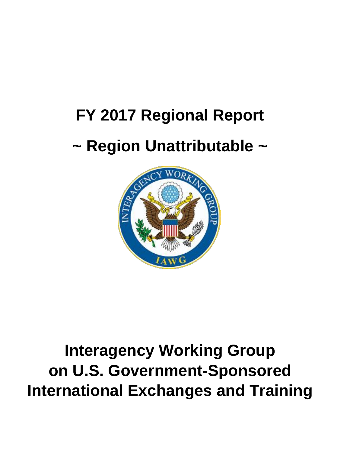# **FY 2017 Regional Report**

## **~ Region Unattributable ~**



## **Interagency Working Group on U.S. Government-Sponsored International Exchanges and Training**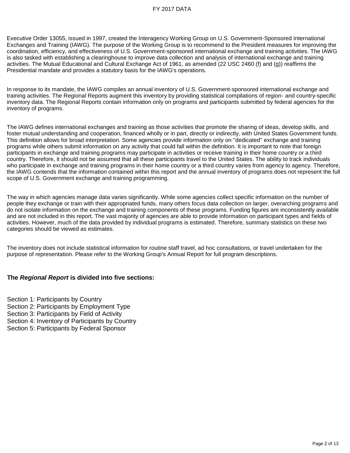Executive Order 13055, issued in 1997, created the Interagency Working Group on U.S. Government-Sponsored International Exchanges and Training (IAWG). The purpose of the Working Group is to recommend to the President measures for improving the coordination, efficiency, and effectiveness of U.S. Government-sponsored international exchange and training activities. The IAWG is also tasked with establishing a clearinghouse to improve data collection and analysis of international exchange and training activities. The Mutual Educational and Cultural Exchange Act of 1961, as amended (22 USC 2460 (f) and (g)) reaffirms the Presidential mandate and provides a statutory basis for the IAWG's operations.

In response to its mandate, the IAWG compiles an annual inventory of U.S. Government-sponsored international exchange and training activities. The Regional Reports augment this inventory by providing statistical compilations of region- and country-specific inventory data. The Regional Reports contain information only on programs and participants submitted by federal agencies for the inventory of programs.

The IAWG defines international exchanges and training as those activities that promote the sharing of ideas, develop skills, and foster mutual understanding and cooperation, financed wholly or in part, directly or indirectly, with United States Government funds. This definition allows for broad interpretation. Some agencies provide information only on ''dedicated'' exchange and training programs while others submit information on any activity that could fall within the definition. It is important to note that foreign participants in exchange and training programs may participate in activities or receive training in their home country or a third country. Therefore, it should not be assumed that all these participants travel to the United States. The ability to track individuals who participate in exchange and training programs in their home country or a third country varies from agency to agency. Therefore, the IAWG contends that the information contained within this report and the annual inventory of programs does not represent the full scope of U.S. Government exchange and training programming.

The way in which agencies manage data varies significantly. While some agencies collect specific information on the number of people they exchange or train with their appropriated funds, many others focus data collection on larger, overarching programs and do not isolate information on the exchange and training components of these programs. Funding figures are inconsistently available and are not included in this report. The vast majority of agencies are able to provide information on participant types and fields of activities. However, much of the data provided by individual programs is estimated. Therefore, summary statistics on these two categories should be viewed as estimates.

The inventory does not include statistical information for routine staff travel, ad hoc consultations, or travel undertaken for the purpose of representation. Please refer to the Working Group's Annual Report for full program descriptions.

#### **The** *Regional Report* **is divided into five sections:**

Section 1: Participants by Country Section 2: Participants by Employment Type Section 3: Participants by Field of Activity Section 4: Inventory of Participants by Country Section 5: Participants by Federal Sponsor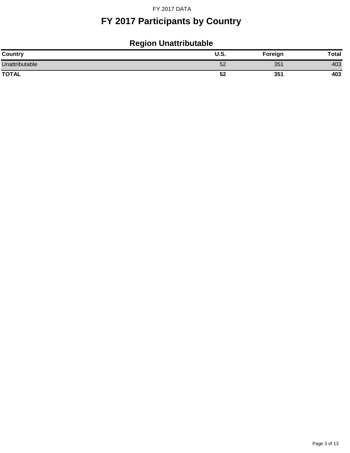## **FY 2017 Participants by Country**

## **Region Unattributable**

| Country        | $\cdots$<br>U.Ə. | Foreign | Total |
|----------------|------------------|---------|-------|
| Unattributable | 52               | 351     | 403   |
| <b>TOTAL</b>   | 52               | 351     | 403   |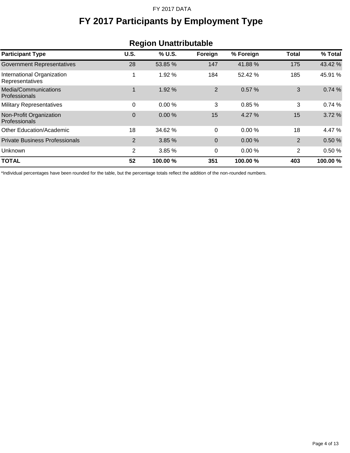## **FY 2017 Participants by Employment Type**

| <b>Region Unattributable</b>                  |                |          |                |           |                |          |
|-----------------------------------------------|----------------|----------|----------------|-----------|----------------|----------|
| <b>Participant Type</b>                       | U.S.           | % U.S.   | Foreign        | % Foreign | Total          | % Total  |
| <b>Government Representatives</b>             | 28             | 53.85 %  | 147            | 41.88%    | 175            | 43.42 %  |
| International Organization<br>Representatives | 1              | 1.92 %   | 184            | 52.42 %   | 185            | 45.91 %  |
| Media/Communications<br>Professionals         | 1              | 1.92 %   | $\overline{2}$ | 0.57%     | 3              | 0.74%    |
| <b>Military Representatives</b>               | 0              | 0.00%    | 3              | 0.85%     | 3              | 0.74%    |
| Non-Profit Organization<br>Professionals      | 0              | 0.00%    | 15             | 4.27%     | 15             | 3.72 %   |
| Other Education/Academic                      | 18             | 34.62 %  | 0              | 0.00%     | 18             | 4.47 %   |
| <b>Private Business Professionals</b>         | $\overline{2}$ | 3.85%    | 0              | $0.00\%$  | $\overline{2}$ | 0.50%    |
| Unknown                                       | 2              | 3.85 %   | 0              | 0.00%     | 2              | 0.50%    |
| <b>TOTAL</b>                                  | 52             | 100.00 % | 351            | 100.00 %  | 403            | 100.00 % |

\*Individual percentages have been rounded for the table, but the percentage totals reflect the addition of the non-rounded numbers.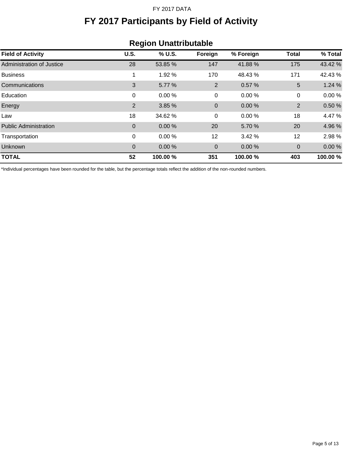## **FY 2017 Participants by Field of Activity**

| <b>Region Unattributable</b> |             |          |             |           |              |          |
|------------------------------|-------------|----------|-------------|-----------|--------------|----------|
| <b>Field of Activity</b>     | <b>U.S.</b> | % U.S.   | Foreign     | % Foreign | <b>Total</b> | % Total  |
| Administration of Justice    | 28          | 53.85 %  | 147         | 41.88%    | 175          | 43.42 %  |
| <b>Business</b>              | 1           | 1.92 %   | 170         | 48.43%    | 171          | 42.43%   |
| Communications               | 3           | 5.77 %   | 2           | 0.57%     | 5            | 1.24%    |
| Education                    | 0           | 0.00%    | 0           | 0.00%     | 0            | 0.00%    |
| Energy                       | 2           | 3.85 %   | $\mathbf 0$ | 0.00%     | 2            | 0.50%    |
| Law                          | 18          | 34.62 %  | 0           | 0.00%     | 18           | 4.47 %   |
| <b>Public Administration</b> | 0           | 0.00%    | 20          | 5.70 %    | 20           | 4.96 %   |
| Transportation               | 0           | 0.00%    | 12          | 3.42%     | 12           | 2.98 %   |
| <b>Unknown</b>               | 0           | $0.00\%$ | 0           | 0.00%     | $\mathbf 0$  | 0.00%    |
| <b>TOTAL</b>                 | 52          | 100.00 % | 351         | 100.00 %  | 403          | 100.00 % |

#### \*Individual percentages have been rounded for the table, but the percentage totals reflect the addition of the non-rounded numbers.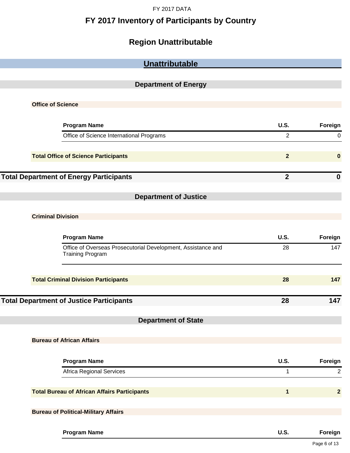### **FY 2017 Inventory of Participants by Country**

## **Region Unattributable**

| Unattributable                                                                          |                |                  |
|-----------------------------------------------------------------------------------------|----------------|------------------|
|                                                                                         |                |                  |
| <b>Department of Energy</b>                                                             |                |                  |
|                                                                                         |                |                  |
| <b>Office of Science</b>                                                                |                |                  |
|                                                                                         |                |                  |
| <b>Program Name</b>                                                                     | <b>U.S.</b>    | Foreign          |
| Office of Science International Programs                                                | $\overline{2}$ | $\mathbf 0$      |
|                                                                                         |                |                  |
| <b>Total Office of Science Participants</b>                                             | $\overline{2}$ | $\bf{0}$         |
|                                                                                         |                |                  |
| <b>Total Department of Energy Participants</b>                                          | $\overline{2}$ | $\boldsymbol{0}$ |
|                                                                                         |                |                  |
| <b>Department of Justice</b>                                                            |                |                  |
|                                                                                         |                |                  |
| <b>Criminal Division</b>                                                                |                |                  |
|                                                                                         |                |                  |
| <b>Program Name</b>                                                                     | <b>U.S.</b>    | Foreign          |
| Office of Overseas Prosecutorial Development, Assistance and<br><b>Training Program</b> | 28             | 147              |
|                                                                                         |                |                  |
| <b>Total Criminal Division Participants</b>                                             | 28             | 147              |
|                                                                                         |                |                  |
| <b>Total Department of Justice Participants</b>                                         | 28             | 147              |
|                                                                                         |                |                  |
| <b>Department of State</b>                                                              |                |                  |
|                                                                                         |                |                  |
| <b>Bureau of African Affairs</b>                                                        |                |                  |
|                                                                                         |                |                  |
| <b>Program Name</b>                                                                     | <b>U.S.</b>    | Foreign          |
| Africa Regional Services                                                                | $\mathbf{1}$   | $\overline{2}$   |
|                                                                                         |                |                  |
| <b>Total Bureau of African Affairs Participants</b>                                     | $\mathbf 1$    | $\overline{2}$   |
|                                                                                         |                |                  |
| <b>Bureau of Political-Military Affairs</b>                                             |                |                  |
|                                                                                         |                |                  |
| <b>Program Name</b>                                                                     | <b>U.S.</b>    | Foreign          |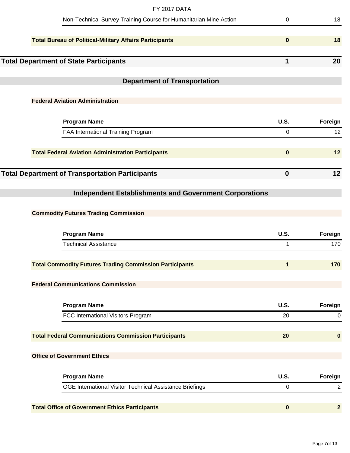| <b>FY 2017 DATA</b>                                               |                             |                |
|-------------------------------------------------------------------|-----------------------------|----------------|
| Non-Technical Survey Training Course for Humanitarian Mine Action | $\mathbf 0$                 | 18             |
| <b>Total Bureau of Political-Military Affairs Participants</b>    | $\mathbf{0}$                | 18             |
| <b>Total Department of State Participants</b>                     | 1                           | 20             |
| <b>Department of Transportation</b>                               |                             |                |
|                                                                   |                             |                |
| <b>Federal Aviation Administration</b>                            |                             |                |
| <b>Program Name</b>                                               | <b>U.S.</b>                 | Foreign        |
| FAA International Training Program                                | $\mathbf 0$                 | 12             |
| <b>Total Federal Aviation Administration Participants</b>         | $\mathbf 0$                 | 12             |
| <b>Total Department of Transportation Participants</b>            | $\mathbf 0$                 | 12             |
|                                                                   |                             |                |
| <b>Independent Establishments and Government Corporations</b>     |                             |                |
| <b>Commodity Futures Trading Commission</b>                       |                             |                |
|                                                                   |                             |                |
| <b>Program Name</b><br><b>Technical Assistance</b>                | <b>U.S.</b><br>$\mathbf{1}$ | Foreign<br>170 |
|                                                                   |                             |                |
| <b>Total Commodity Futures Trading Commission Participants</b>    | 1                           | 170            |
| <b>Federal Communications Commission</b>                          |                             |                |
|                                                                   |                             |                |
| <b>Program Name</b>                                               | <b>U.S.</b>                 | Foreign        |
| FCC International Visitors Program                                | 20                          | $\mathbf 0$    |
| <b>Total Federal Communications Commission Participants</b>       | 20                          | $\bf{0}$       |
| <b>Office of Government Ethics</b>                                |                             |                |
| <b>Program Name</b>                                               | <b>U.S.</b>                 | Foreign        |
| OGE International Visitor Technical Assistance Briefings          | $\mathbf 0$                 | $\overline{2}$ |
| <b>Total Office of Government Ethics Participants</b>             | $\mathbf{0}$                | $\overline{2}$ |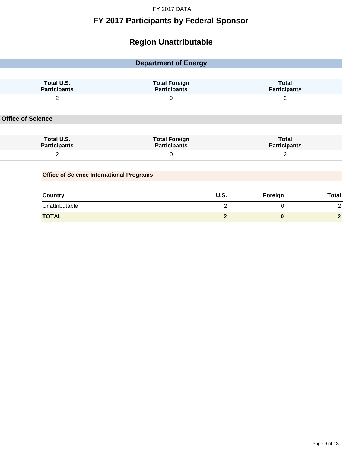#### **FY 2017 Participants by Federal Sponsor**

### **Region Unattributable**

#### **Department of Energy Total U.S. Participants Total Foreign Participants Total Participants** 2 0 2

#### **Office of Science**

| Total U.S.          | <b>Total Foreign</b> | Total               |
|---------------------|----------------------|---------------------|
| <b>Participants</b> | Participants         | <b>Participants</b> |
| -                   |                      |                     |

#### **Office of Science International Programs**

| <b>Country</b> | U.S. | Foreign | <b>Total</b>  |
|----------------|------|---------|---------------|
| Unattributable |      |         | ⌒<br><u>_</u> |
| <b>TOTAL</b>   |      |         | $\sqrt{2}$    |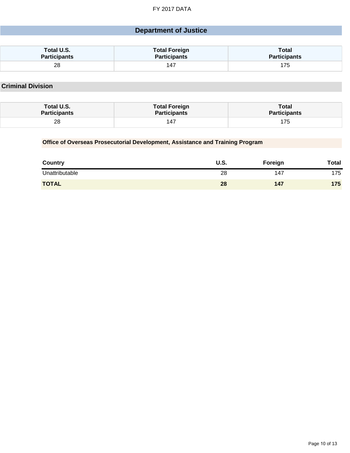#### **Department of Justice**

| Total U.S.          | <b>Total Foreign</b> | Total               |
|---------------------|----------------------|---------------------|
| <b>Participants</b> | <b>Participants</b>  | <b>Participants</b> |
| 28<br>$\sim$        | 14.                  |                     |

**Criminal Division**

| Total U.S.          | <b>Total Foreign</b> | Total               |
|---------------------|----------------------|---------------------|
| <b>Participants</b> | <b>Participants</b>  | <b>Participants</b> |
| 28                  | 14,                  |                     |

#### **Office of Overseas Prosecutorial Development, Assistance and Training Program**

| <b>Country</b> | U.S. | Foreign | <b>Total</b> |
|----------------|------|---------|--------------|
| Unattributable | 28   | 147     | 175          |
| <b>TOTAL</b>   | 28   | 147     | 175          |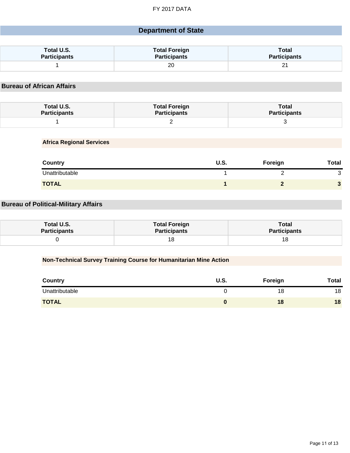#### **Department of State**

| Total U.S.          | <b>Total Foreign</b> | <b>Total</b>        |
|---------------------|----------------------|---------------------|
| <b>Participants</b> | <b>Participants</b>  | <b>Participants</b> |
|                     | 20                   | ∠                   |

#### **Bureau of African Affairs**

| Total U.S.          | <b>Total Foreign</b> | Total               |
|---------------------|----------------------|---------------------|
| <b>Participants</b> | <b>Participants</b>  | <b>Participants</b> |
|                     |                      |                     |

**Africa Regional Services**

| <b>Country</b> | U.S. | Foreign | Total |
|----------------|------|---------|-------|
| Unattributable |      |         | ັ     |
| <b>TOTAL</b>   |      |         |       |

#### **Bureau of Political-Military Affairs**

| Total U.S.   | <b>Total Foreign</b> | Total               |
|--------------|----------------------|---------------------|
| Participants | <b>Participants</b>  | <b>Participants</b> |
|              |                      | 18                  |

#### **Non-Technical Survey Training Course for Humanitarian Mine Action**

| Country        | U.S. | Foreign | <b>Total</b> |
|----------------|------|---------|--------------|
| Unattributable |      | 18      | 18           |
| <b>TOTAL</b>   |      | 18      | 18           |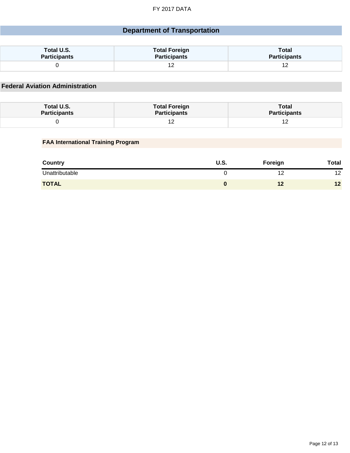#### **Department of Transportation**

| Total U.S.          | <b>Total Foreign</b> | Total                        |
|---------------------|----------------------|------------------------------|
| <b>Participants</b> | <b>Participants</b>  | <b>Participants</b>          |
|                     | ▵                    | $\overline{ }$<br>. <u>.</u> |

**Federal Aviation Administration**

| Total U.S.          | <b>Total Foreign</b> | <b>Total</b>        |
|---------------------|----------------------|---------------------|
| <b>Participants</b> | <b>Participants</b>  | <b>Participants</b> |
|                     |                      |                     |

#### **FAA International Training Program**

| <b>Country</b> | U.S. | Foreign | <b>Total</b> |
|----------------|------|---------|--------------|
| Unattributable |      | 12      | 12<br>1 L    |
| <b>TOTAL</b>   |      |         | 12           |